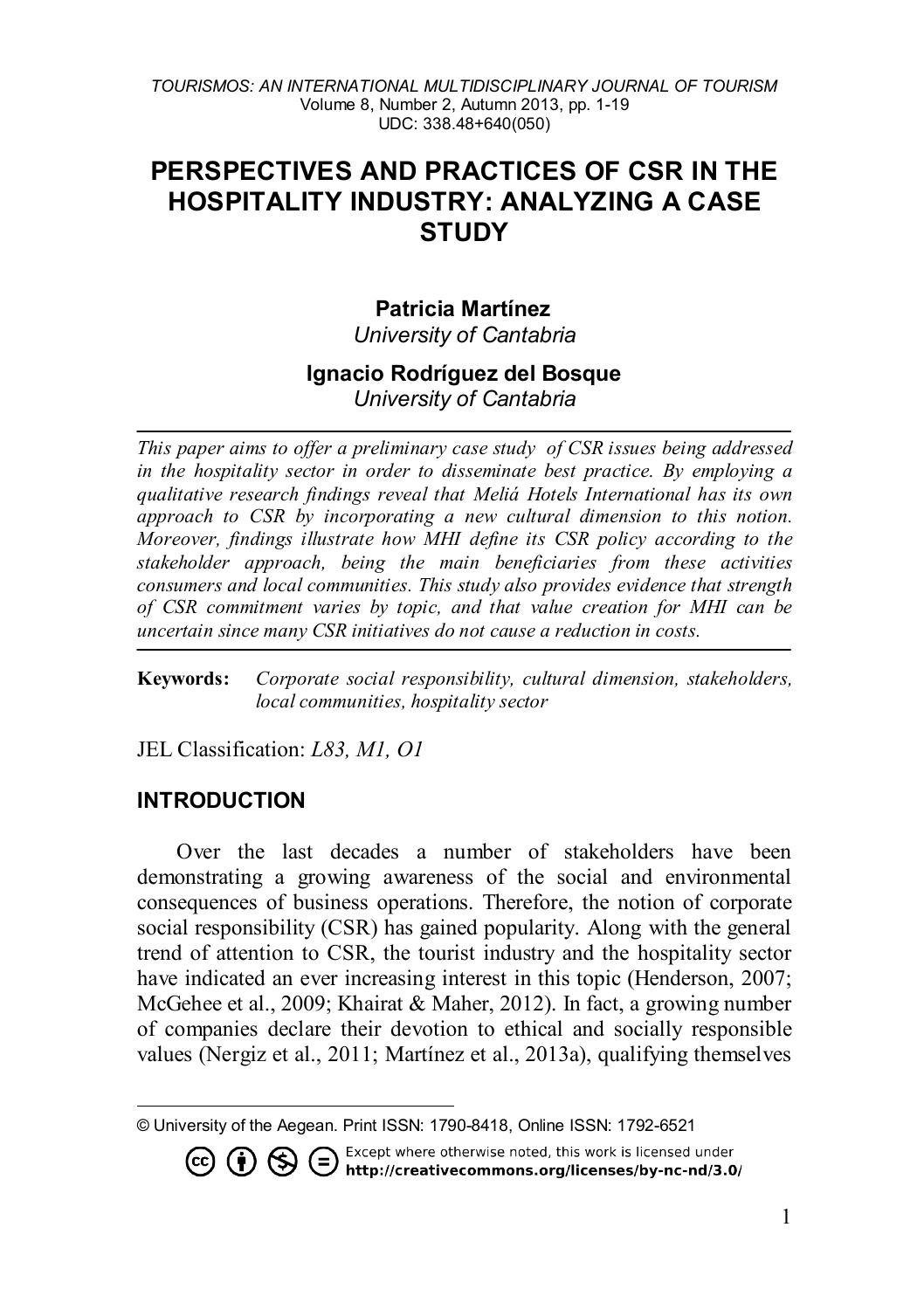# **PERSPECTIVES AND PRACTICES OF CSR IN THE HOSPITALITY INDUSTRY: ANALYZING A CASE STUDY**

# **Patricia Martínez[1](#page-0-0)**

*University of Cantabria*

#### **Ignacio Rodríguez del Bosque** *University of Cantabria*

*This paper aims to offer a preliminary case study of CSR issues being addressed in the hospitality sector in order to disseminate best practice. By employing a qualitative research findings reveal that Meliá Hotels International has its own approach to CSR by incorporating a new cultural dimension to this notion. Moreover, findings illustrate how MHI define its CSR policy according to the stakeholder approach, being the main beneficiaries from these activities consumers and local communities. This study also provides evidence that strength of CSR commitment varies by topic, and that value creation for MHI can be uncertain since many CSR initiatives do not cause a reduction in costs.* 

**Keywords:** *Corporate social responsibility, cultural dimension, stakeholders, local communities, hospitality sector*

JEL Classification: *L83, M1, O1*

## **INTRODUCTION**

Over the last decades a number of stakeholders have been demonstrating a growing awareness of the social and environmental consequences of business operations. Therefore, the notion of corporate social responsibility (CSR) has gained popularity. Along with the general trend of attention to CSR, the tourist industry and the hospitality sector have indicated an ever increasing interest in this topic (Henderson, 2007; McGehee et al., 2009; Khairat & Maher, 2012). In fact, a growing number of companies declare their devotion to ethical and socially responsible values (Nergiz et al., 2011; Martínez et al., 2013a), qualifying themselves

<span id="page-0-0"></span> $\overline{a}$ © University of the Aegean. Print ISSN: 1790-8418, Online ISSN: 1792-6521

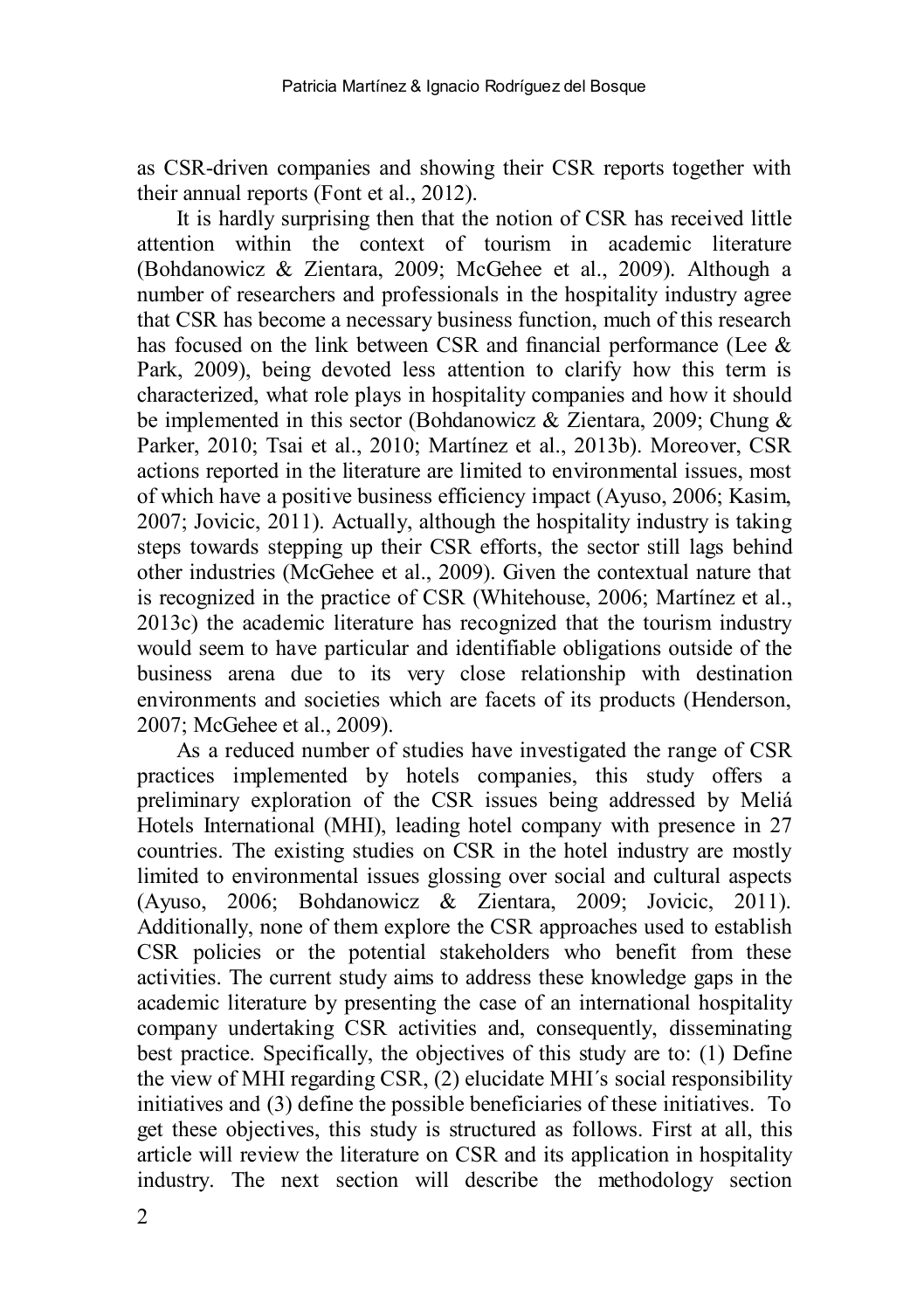as CSR-driven companies and showing their CSR reports together with their annual reports (Font et al., 2012).

It is hardly surprising then that the notion of CSR has received little attention within the context of tourism in academic literature (Bohdanowicz & Zientara, 2009; McGehee et al., 2009). Although a number of researchers and professionals in the hospitality industry agree that CSR has become a necessary business function, much of this research has focused on the link between CSR and financial performance (Lee & Park, 2009), being devoted less attention to clarify how this term is characterized, what role plays in hospitality companies and how it should be implemented in this sector (Bohdanowicz & Zientara, 2009; Chung & Parker, 2010; Tsai et al., 2010; Martínez et al., 2013b). Moreover, CSR actions reported in the literature are limited to environmental issues, most of which have a positive business efficiency impact (Ayuso, 2006; Kasim, 2007; Jovicic, 2011). Actually, although the hospitality industry is taking steps towards stepping up their CSR efforts, the sector still lags behind other industries (McGehee et al., 2009). Given the contextual nature that is recognized in the practice of CSR (Whitehouse, 2006; Martínez et al., 2013c) the academic literature has recognized that the tourism industry would seem to have particular and identifiable obligations outside of the business arena due to its very close relationship with destination environments and societies which are facets of its products (Henderson, 2007; McGehee et al., 2009).

As a reduced number of studies have investigated the range of CSR practices implemented by hotels companies, this study offers a preliminary exploration of the CSR issues being addressed by Meliá Hotels International (MHI), leading hotel company with presence in 27 countries. The existing studies on CSR in the hotel industry are mostly limited to environmental issues glossing over social and cultural aspects (Ayuso, 2006; Bohdanowicz & Zientara, 2009; Jovicic, 2011). Additionally, none of them explore the CSR approaches used to establish CSR policies or the potential stakeholders who benefit from these activities. The current study aims to address these knowledge gaps in the academic literature by presenting the case of an international hospitality company undertaking CSR activities and, consequently, disseminating best practice. Specifically, the objectives of this study are to: (1) Define the view of MHI regarding CSR, (2) elucidate MHI´s social responsibility initiatives and (3) define the possible beneficiaries of these initiatives. To get these objectives, this study is structured as follows. First at all, this article will review the literature on CSR and its application in hospitality industry. The next section will describe the methodology section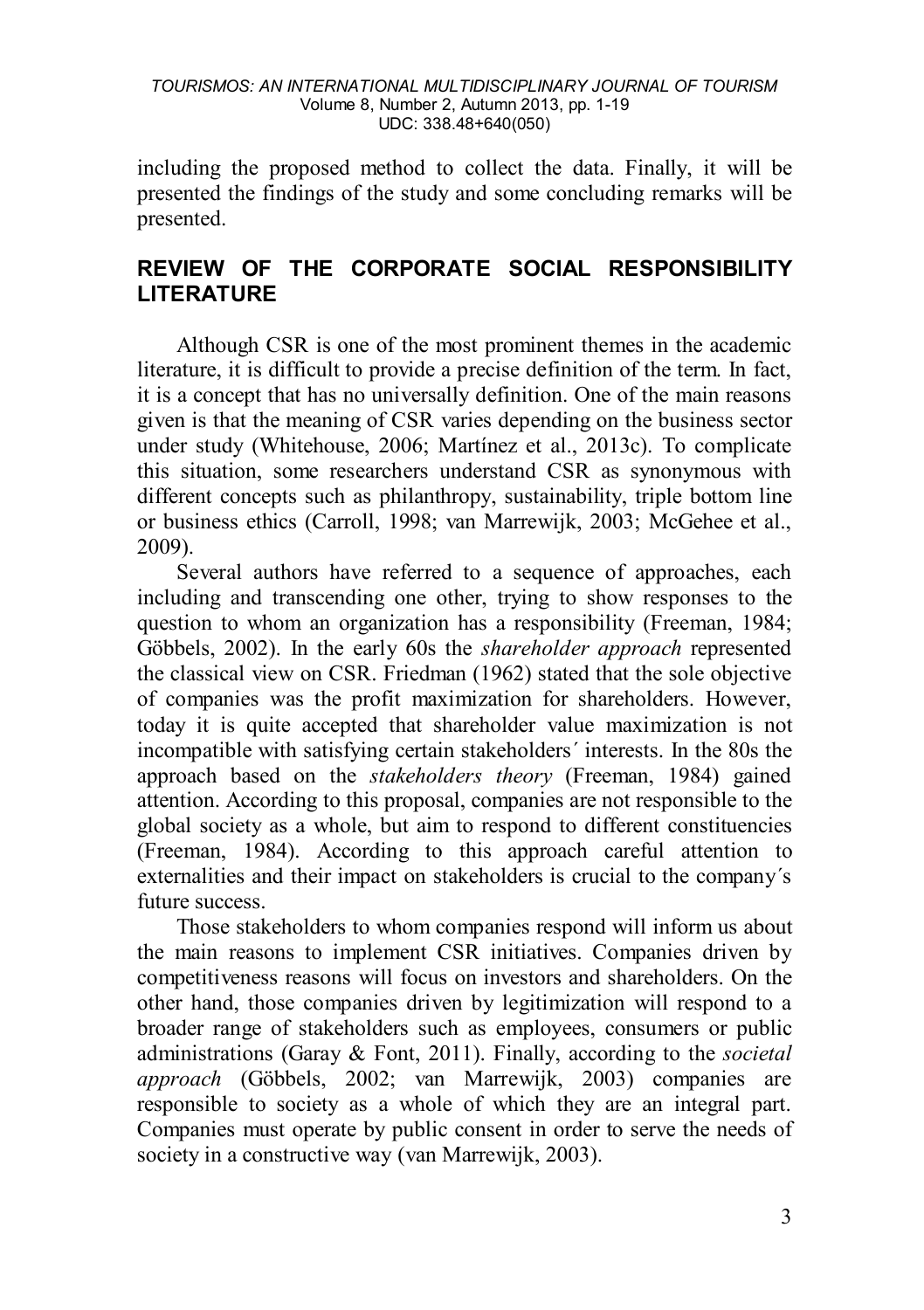including the proposed method to collect the data. Finally, it will be presented the findings of the study and some concluding remarks will be presented.

# **REVIEW OF THE CORPORATE SOCIAL RESPONSIBILITY LITERATURE**

Although CSR is one of the most prominent themes in the academic literature, it is difficult to provide a precise definition of the term. In fact, it is a concept that has no universally definition. One of the main reasons given is that the meaning of CSR varies depending on the business sector under study (Whitehouse, 2006; Martínez et al., 2013c). To complicate this situation, some researchers understand CSR as synonymous with different concepts such as philanthropy, sustainability, triple bottom line or business ethics (Carroll, 1998; van Marrewijk, 2003; McGehee et al., 2009).

Several authors have referred to a sequence of approaches, each including and transcending one other, trying to show responses to the question to whom an organization has a responsibility (Freeman, 1984; Göbbels, 2002). In the early 60s the *shareholder approach* represented the classical view on CSR. Friedman (1962) stated that the sole objective of companies was the profit maximization for shareholders. However, today it is quite accepted that shareholder value maximization is not incompatible with satisfying certain stakeholders´ interests. In the 80s the approach based on the *stakeholders theory* (Freeman, 1984) gained attention. According to this proposal, companies are not responsible to the global society as a whole, but aim to respond to different constituencies (Freeman, 1984). According to this approach careful attention to externalities and their impact on stakeholders is crucial to the company´s future success.

Those stakeholders to whom companies respond will inform us about the main reasons to implement CSR initiatives. Companies driven by competitiveness reasons will focus on investors and shareholders. On the other hand, those companies driven by legitimization will respond to a broader range of stakeholders such as employees, consumers or public administrations (Garay & Font, 2011). Finally, according to the *societal approach* (Göbbels, 2002; van Marrewijk, 2003) companies are responsible to society as a whole of which they are an integral part. Companies must operate by public consent in order to serve the needs of society in a constructive way (van Marrewijk, 2003).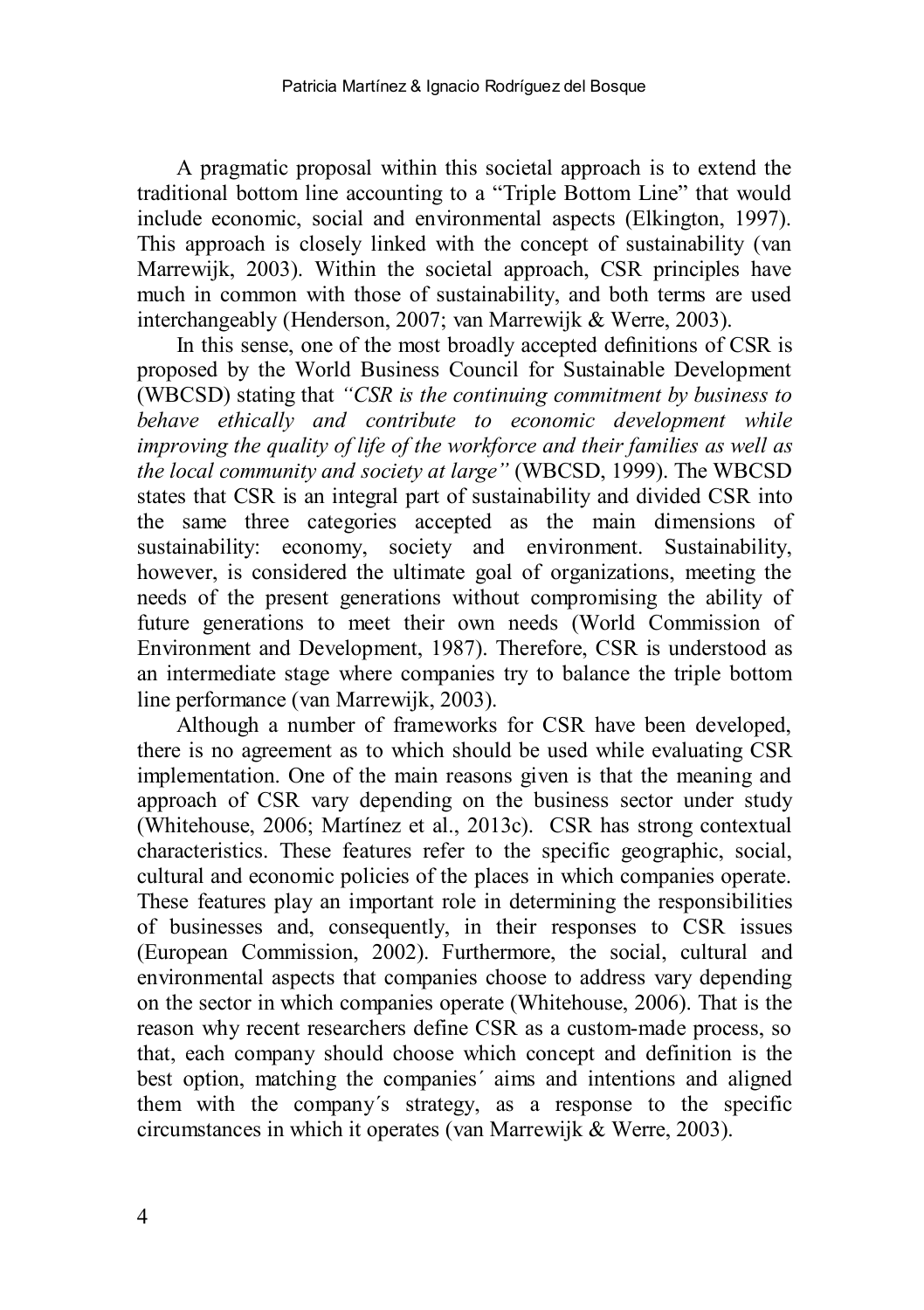A pragmatic proposal within this societal approach is to extend the traditional bottom line accounting to a "Triple Bottom Line" that would include economic, social and environmental aspects (Elkington, 1997). This approach is closely linked with the concept of sustainability (van Marrewijk, 2003). Within the societal approach, CSR principles have much in common with those of sustainability, and both terms are used interchangeably (Henderson, 2007; van Marrewijk & Werre, 2003).

In this sense, one of the most broadly accepted definitions of CSR is proposed by the World Business Council for Sustainable Development (WBCSD) stating that *"CSR is the continuing commitment by business to behave ethically and contribute to economic development while improving the quality of life of the workforce and their families as well as the local community and society at large"* (WBCSD, 1999). The WBCSD states that CSR is an integral part of sustainability and divided CSR into the same three categories accepted as the main dimensions of sustainability: economy, society and environment. Sustainability, however, is considered the ultimate goal of organizations, meeting the needs of the present generations without compromising the ability of future generations to meet their own needs (World Commission of Environment and Development, 1987). Therefore, CSR is understood as an intermediate stage where companies try to balance the triple bottom line performance (van Marrewijk, 2003).

Although a number of frameworks for CSR have been developed, there is no agreement as to which should be used while evaluating CSR implementation. One of the main reasons given is that the meaning and approach of CSR vary depending on the business sector under study (Whitehouse, 2006; Martínez et al., 2013c). CSR has strong contextual characteristics. These features refer to the specific geographic, social, cultural and economic policies of the places in which companies operate. These features play an important role in determining the responsibilities of businesses and, consequently, in their responses to CSR issues (European Commission, 2002). Furthermore, the social, cultural and environmental aspects that companies choose to address vary depending on the sector in which companies operate (Whitehouse, 2006). That is the reason why recent researchers define CSR as a custom-made process, so that, each company should choose which concept and definition is the best option, matching the companies´ aims and intentions and aligned them with the company´s strategy, as a response to the specific circumstances in which it operates (van Marrewijk & Werre, 2003).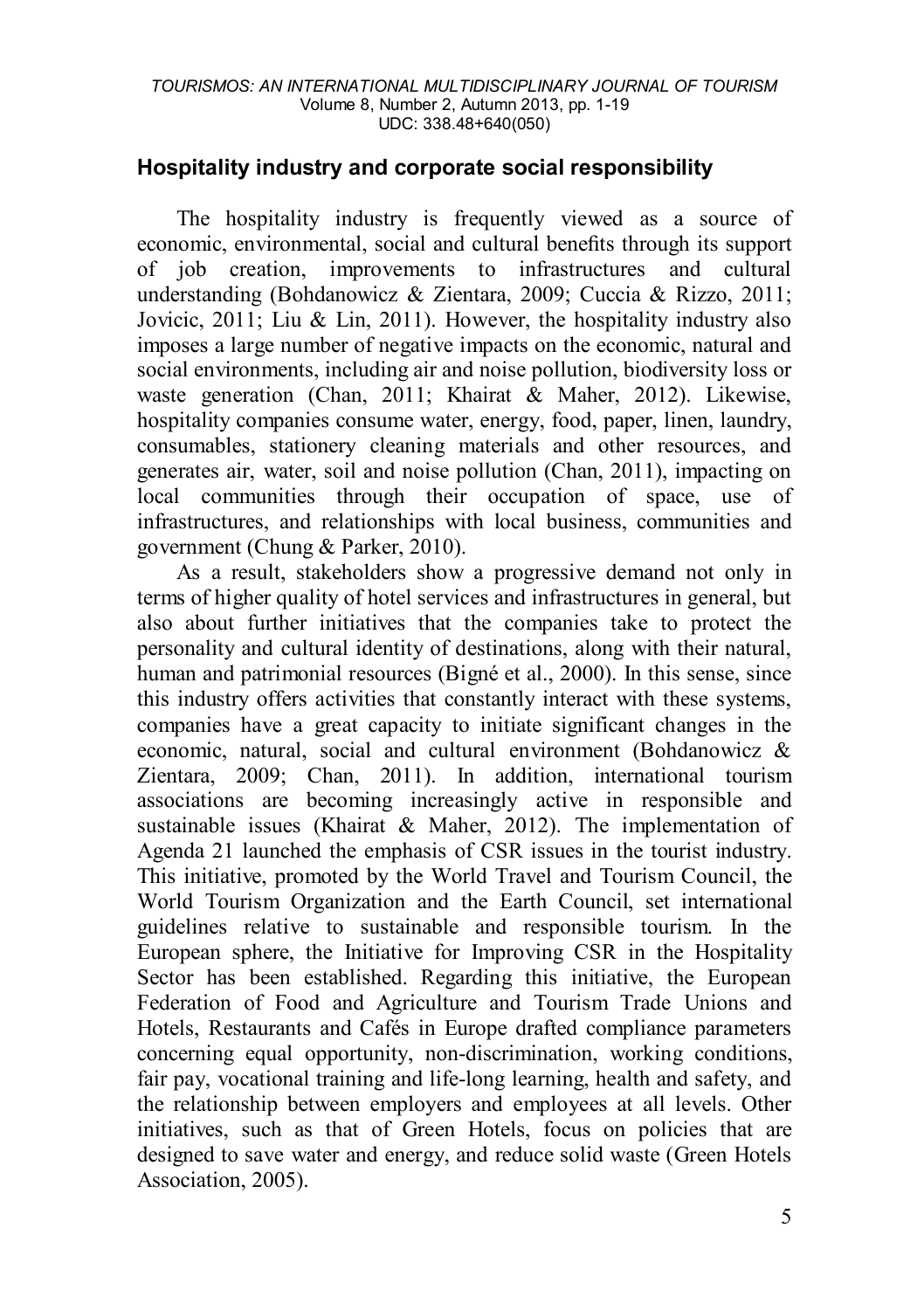## **Hospitality industry and corporate social responsibility**

The hospitality industry is frequently viewed as a source of economic, environmental, social and cultural benefits through its support of job creation, improvements to infrastructures and cultural understanding (Bohdanowicz & Zientara, 2009; Cuccia & Rizzo, 2011; Jovicic, 2011; Liu & Lin, 2011). However, the hospitality industry also imposes a large number of negative impacts on the economic, natural and social environments, including air and noise pollution, biodiversity loss or waste generation (Chan, 2011; Khairat & Maher, 2012). Likewise, hospitality companies consume water, energy, food, paper, linen, laundry, consumables, stationery cleaning materials and other resources, and generates air, water, soil and noise pollution (Chan, 2011), impacting on local communities through their occupation of space, use of infrastructures, and relationships with local business, communities and government (Chung & Parker, 2010).

As a result, stakeholders show a progressive demand not only in terms of higher quality of hotel services and infrastructures in general, but also about further initiatives that the companies take to protect the personality and cultural identity of destinations, along with their natural, human and patrimonial resources (Bigné et al., 2000). In this sense, since this industry offers activities that constantly interact with these systems, companies have a great capacity to initiate significant changes in the economic, natural, social and cultural environment (Bohdanowicz & Zientara, 2009; Chan, 2011). In addition, international tourism associations are becoming increasingly active in responsible and sustainable issues (Khairat & Maher, 2012). The implementation of Agenda 21 launched the emphasis of CSR issues in the tourist industry. This initiative, promoted by the World Travel and Tourism Council, the World Tourism Organization and the Earth Council, set international guidelines relative to sustainable and responsible tourism. In the European sphere, the Initiative for Improving CSR in the Hospitality Sector has been established. Regarding this initiative, the European Federation of Food and Agriculture and Tourism Trade Unions and Hotels, Restaurants and Cafés in Europe drafted compliance parameters concerning equal opportunity, non-discrimination, working conditions, fair pay, vocational training and life-long learning, health and safety, and the relationship between employers and employees at all levels. Other initiatives, such as that of Green Hotels, focus on policies that are designed to save water and energy, and reduce solid waste (Green Hotels Association, 2005).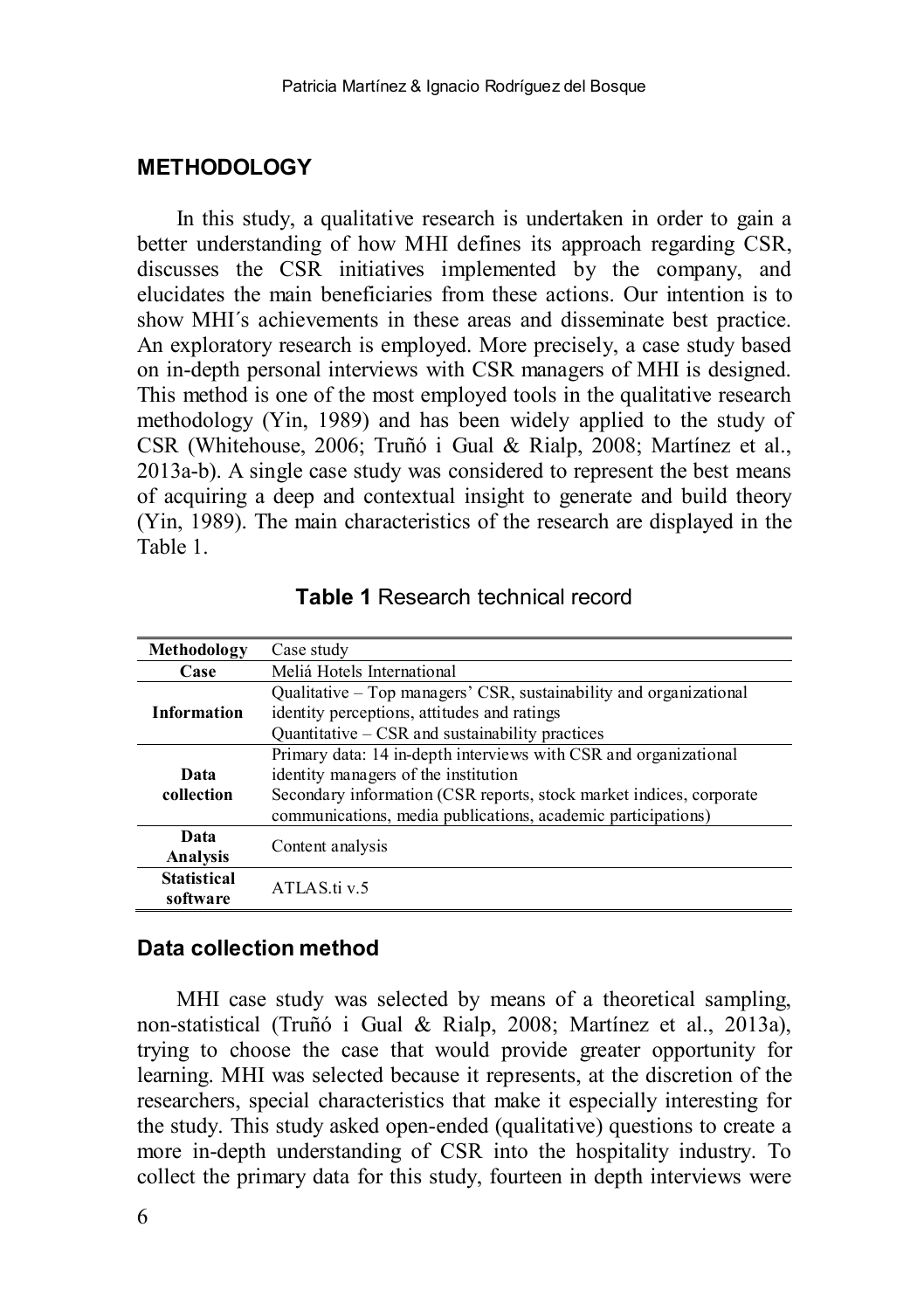## **METHODOLOGY**

In this study, a qualitative research is undertaken in order to gain a better understanding of how MHI defines its approach regarding CSR, discusses the CSR initiatives implemented by the company, and elucidates the main beneficiaries from these actions. Our intention is to show MHI´s achievements in these areas and disseminate best practice. An exploratory research is employed. More precisely, a case study based on in-depth personal interviews with CSR managers of MHI is designed. This method is one of the most employed tools in the qualitative research methodology (Yin, 1989) and has been widely applied to the study of CSR (Whitehouse, 2006; Truñó i Gual & Rialp, 2008; Martínez et al., 2013a-b). A single case study was considered to represent the best means of acquiring a deep and contextual insight to generate and build theory (Yin, 1989). The main characteristics of the research are displayed in the Table 1.

| Methodology                    | Case study                                                                                                                                                                                                                                      |  |
|--------------------------------|-------------------------------------------------------------------------------------------------------------------------------------------------------------------------------------------------------------------------------------------------|--|
| Case                           | Meliá Hotels International                                                                                                                                                                                                                      |  |
| <b>Information</b>             | Qualitative – Top managers' CSR, sustainability and organizational<br>identity perceptions, attitudes and ratings<br>Quantitative $-$ CSR and sustainability practices                                                                          |  |
| Data<br>collection             | Primary data: 14 in-depth interviews with CSR and organizational<br>identity managers of the institution<br>Secondary information (CSR reports, stock market indices, corporate<br>communications, media publications, academic participations) |  |
| Data<br>Analysis               | Content analysis                                                                                                                                                                                                                                |  |
| <b>Statistical</b><br>software | ATLAS.ti v.5                                                                                                                                                                                                                                    |  |

**Table 1** Research technical record

#### **Data collection method**

MHI case study was selected by means of a theoretical sampling, non-statistical (Truñó i Gual & Rialp, 2008; Martínez et al., 2013a), trying to choose the case that would provide greater opportunity for learning. MHI was selected because it represents, at the discretion of the researchers, special characteristics that make it especially interesting for the study. This study asked open-ended (qualitative) questions to create a more in-depth understanding of CSR into the hospitality industry. To collect the primary data for this study, fourteen in depth interviews were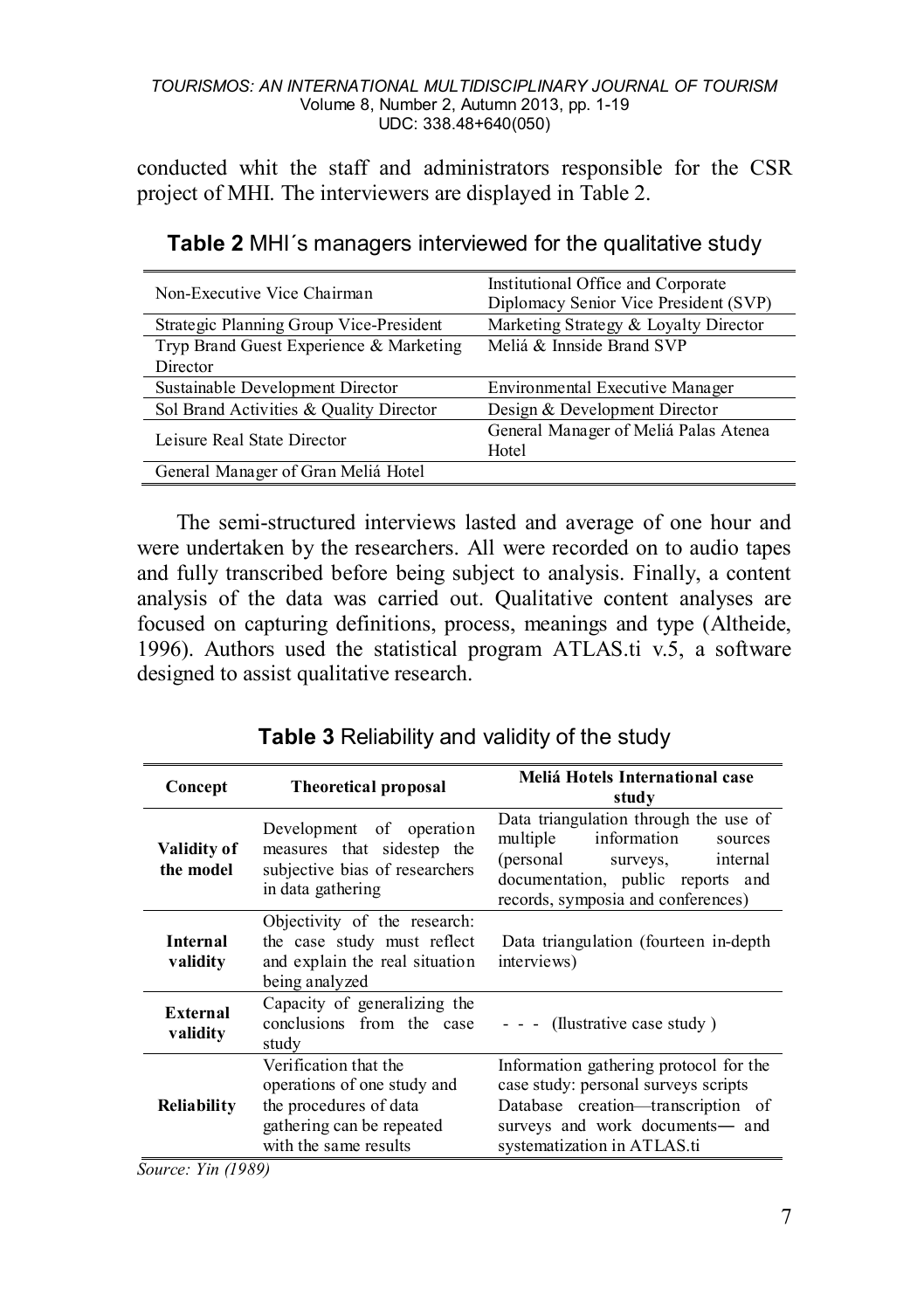conducted whit the staff and administrators responsible for the CSR project of MHI. The interviewers are displayed in Table 2.

| Non-Executive Vice Chairman             | Institutional Office and Corporate<br>Diplomacy Senior Vice President (SVP) |
|-----------------------------------------|-----------------------------------------------------------------------------|
| Strategic Planning Group Vice-President | Marketing Strategy & Loyalty Director                                       |
| Tryp Brand Guest Experience & Marketing | Meliá & Innside Brand SVP                                                   |
| Director                                |                                                                             |
| Sustainable Development Director        | Environmental Executive Manager                                             |
| Sol Brand Activities & Quality Director | Design & Development Director                                               |
| Leisure Real State Director             | General Manager of Meliá Palas Atenea<br>Hotel                              |
| General Manager of Gran Meliá Hotel     |                                                                             |

| Table 2 MHI's managers interviewed for the qualitative study |  |  |
|--------------------------------------------------------------|--|--|
|--------------------------------------------------------------|--|--|

The semi-structured interviews lasted and average of one hour and were undertaken by the researchers. All were recorded on to audio tapes and fully transcribed before being subject to analysis. Finally, a content analysis of the data was carried out. Qualitative content analyses are focused on capturing definitions, process, meanings and type (Altheide, 1996). Authors used the statistical program ATLAS.ti v.5, a software designed to assist qualitative research.

| Concept                         | <b>Theoretical proposal</b>                                                                                                          | Meliá Hotels International case<br>study                                                                                                                                               |
|---------------------------------|--------------------------------------------------------------------------------------------------------------------------------------|----------------------------------------------------------------------------------------------------------------------------------------------------------------------------------------|
| <b>Validity of</b><br>the model | Development of operation<br>measures that sidestep the<br>subjective bias of researchers<br>in data gathering                        | Data triangulation through the use of<br>information<br>multiple<br>sources<br>(personal surveys, internal<br>documentation, public reports and<br>records, symposia and conferences)  |
| <b>Internal</b><br>validity     | Objectivity of the research:<br>the case study must reflect<br>and explain the real situation<br>being analyzed                      | Data triangulation (fourteen in-depth)<br>interviews)                                                                                                                                  |
| External<br>validity            | Capacity of generalizing the<br>conclusions from the case<br>studv                                                                   | $- -$ (Ilustrative case study)                                                                                                                                                         |
| Reliability                     | Verification that the<br>operations of one study and<br>the procedures of data<br>gathering can be repeated<br>with the same results | Information gathering protocol for the<br>case study: personal surveys scripts<br>Database creation-transcription of<br>surveys and work documents- and<br>systematization in ATLAS.ti |

**Table 3** Reliability and validity of the study

*Source: Yin (1989)*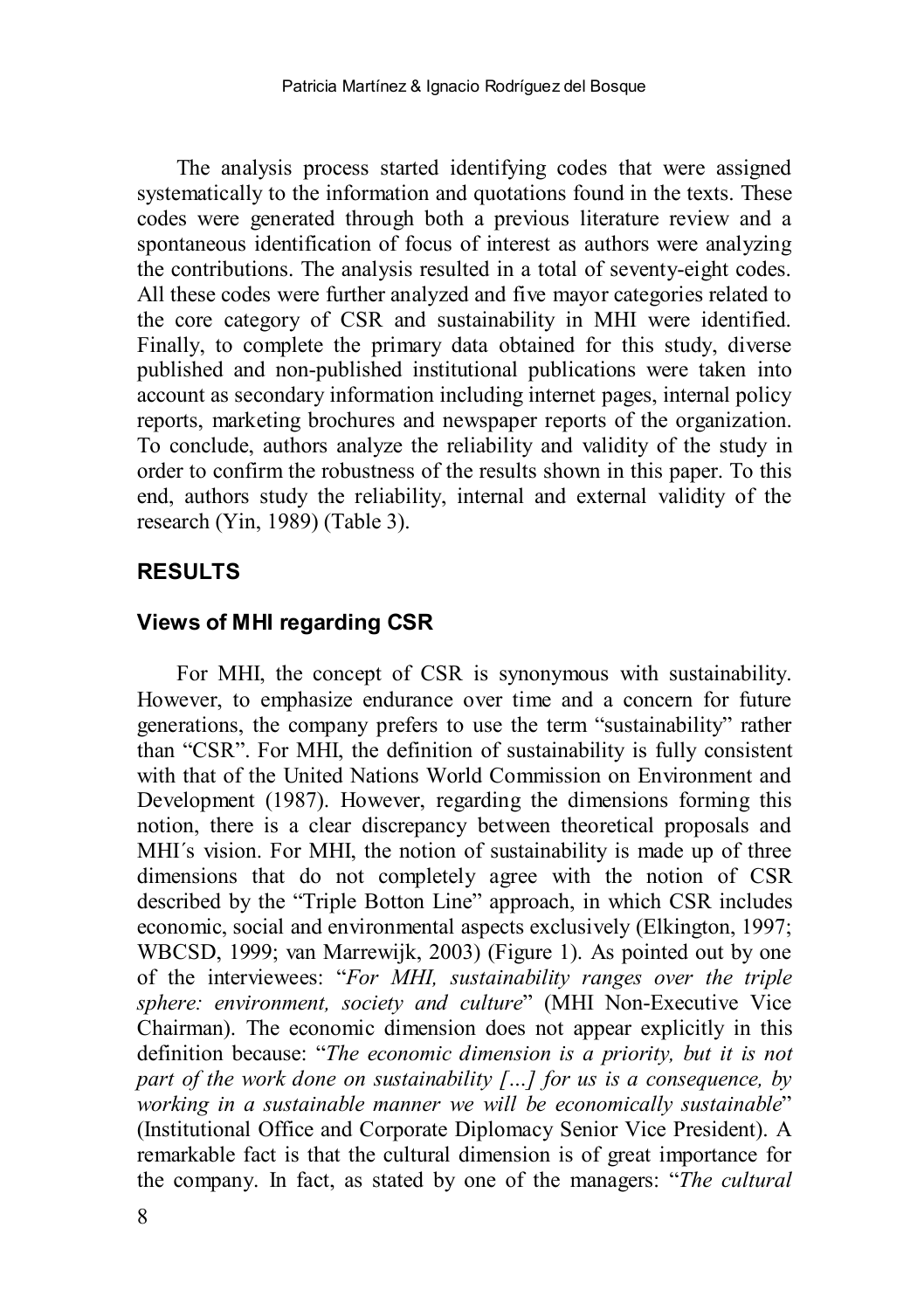The analysis process started identifying codes that were assigned systematically to the information and quotations found in the texts. These codes were generated through both a previous literature review and a spontaneous identification of focus of interest as authors were analyzing the contributions. The analysis resulted in a total of seventy-eight codes. All these codes were further analyzed and five mayor categories related to the core category of CSR and sustainability in MHI were identified. Finally, to complete the primary data obtained for this study, diverse published and non-published institutional publications were taken into account as secondary information including internet pages, internal policy reports, marketing brochures and newspaper reports of the organization. To conclude, authors analyze the reliability and validity of the study in order to confirm the robustness of the results shown in this paper. To this end, authors study the reliability, internal and external validity of the research (Yin, 1989) (Table 3).

## **RESULTS**

## **Views of MHI regarding CSR**

For MHI, the concept of CSR is synonymous with sustainability. However, to emphasize endurance over time and a concern for future generations, the company prefers to use the term "sustainability" rather than "CSR". For MHI, the definition of sustainability is fully consistent with that of the United Nations World Commission on Environment and Development (1987). However, regarding the dimensions forming this notion, there is a clear discrepancy between theoretical proposals and MHI´s vision. For MHI, the notion of sustainability is made up of three dimensions that do not completely agree with the notion of CSR described by the "Triple Botton Line" approach, in which CSR includes economic, social and environmental aspects exclusively (Elkington, 1997; WBCSD, 1999; van Marrewijk, 2003) (Figure 1). As pointed out by one of the interviewees: "*For MHI, sustainability ranges over the triple sphere: environment, society and culture*" (MHI Non-Executive Vice Chairman). The economic dimension does not appear explicitly in this definition because: "*The economic dimension is a priority, but it is not part of the work done on sustainability […] for us is a consequence, by working in a sustainable manner we will be economically sustainable*" (Institutional Office and Corporate Diplomacy Senior Vice President). A remarkable fact is that the cultural dimension is of great importance for the company. In fact, as stated by one of the managers: "*The cultural*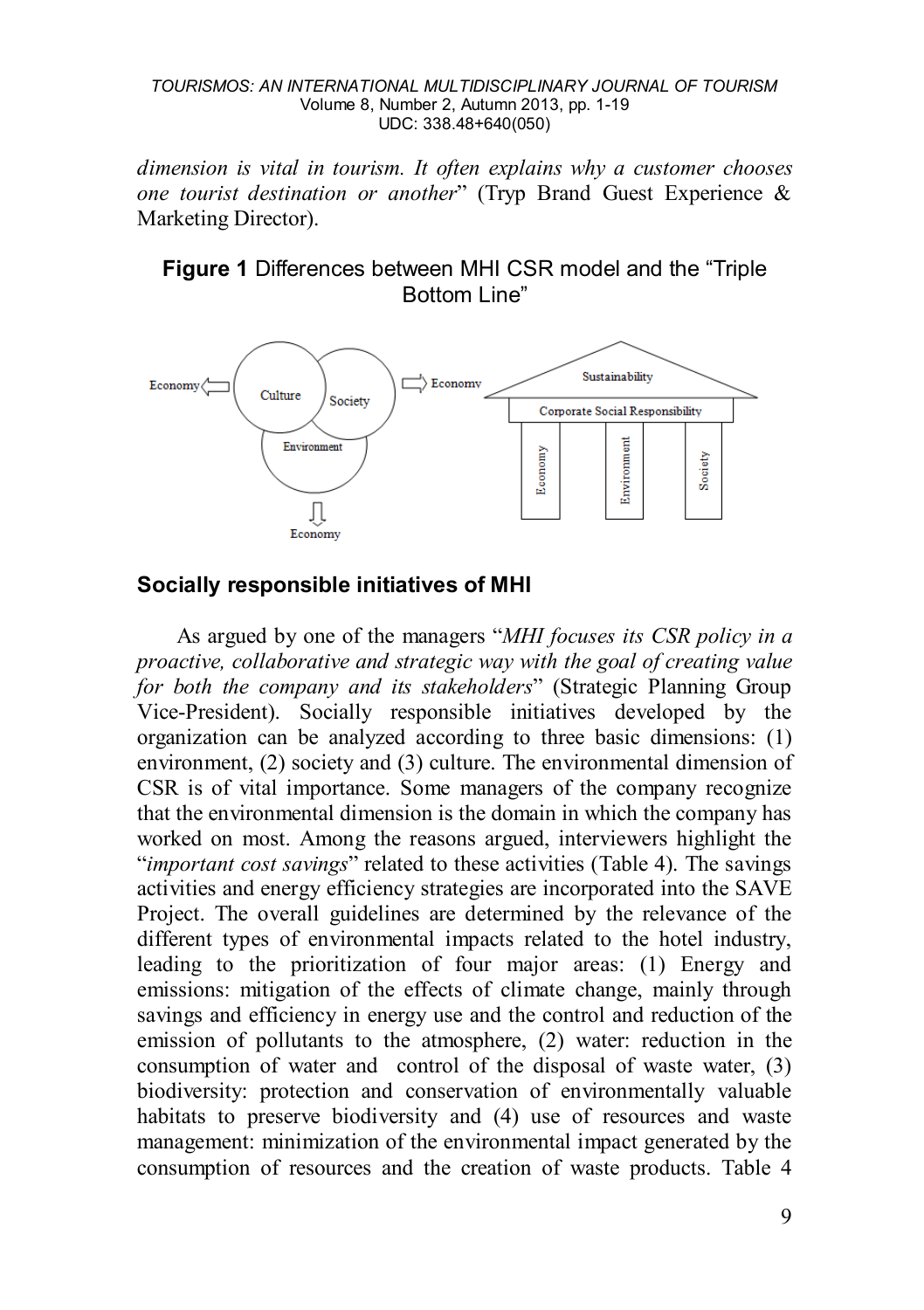*dimension is vital in tourism. It often explains why a customer chooses one tourist destination or another*" (Tryp Brand Guest Experience & Marketing Director).

## **Figure 1** Differences between MHI CSR model and the "Triple Bottom Line"



## **Socially responsible initiatives of MHI**

As argued by one of the managers "*MHI focuses its CSR policy in a proactive, collaborative and strategic way with the goal of creating value for both the company and its stakeholders*" (Strategic Planning Group Vice-President). Socially responsible initiatives developed by the organization can be analyzed according to three basic dimensions: (1) environment, (2) society and (3) culture. The environmental dimension of CSR is of vital importance. Some managers of the company recognize that the environmental dimension is the domain in which the company has worked on most. Among the reasons argued, interviewers highlight the "*important cost savings*" related to these activities (Table 4). The savings activities and energy efficiency strategies are incorporated into the SAVE Project. The overall guidelines are determined by the relevance of the different types of environmental impacts related to the hotel industry, leading to the prioritization of four major areas: (1) Energy and emissions: mitigation of the effects of climate change, mainly through savings and efficiency in energy use and the control and reduction of the emission of pollutants to the atmosphere, (2) water: reduction in the consumption of water and control of the disposal of waste water, (3) biodiversity: protection and conservation of environmentally valuable habitats to preserve biodiversity and (4) use of resources and waste management: minimization of the environmental impact generated by the consumption of resources and the creation of waste products. Table 4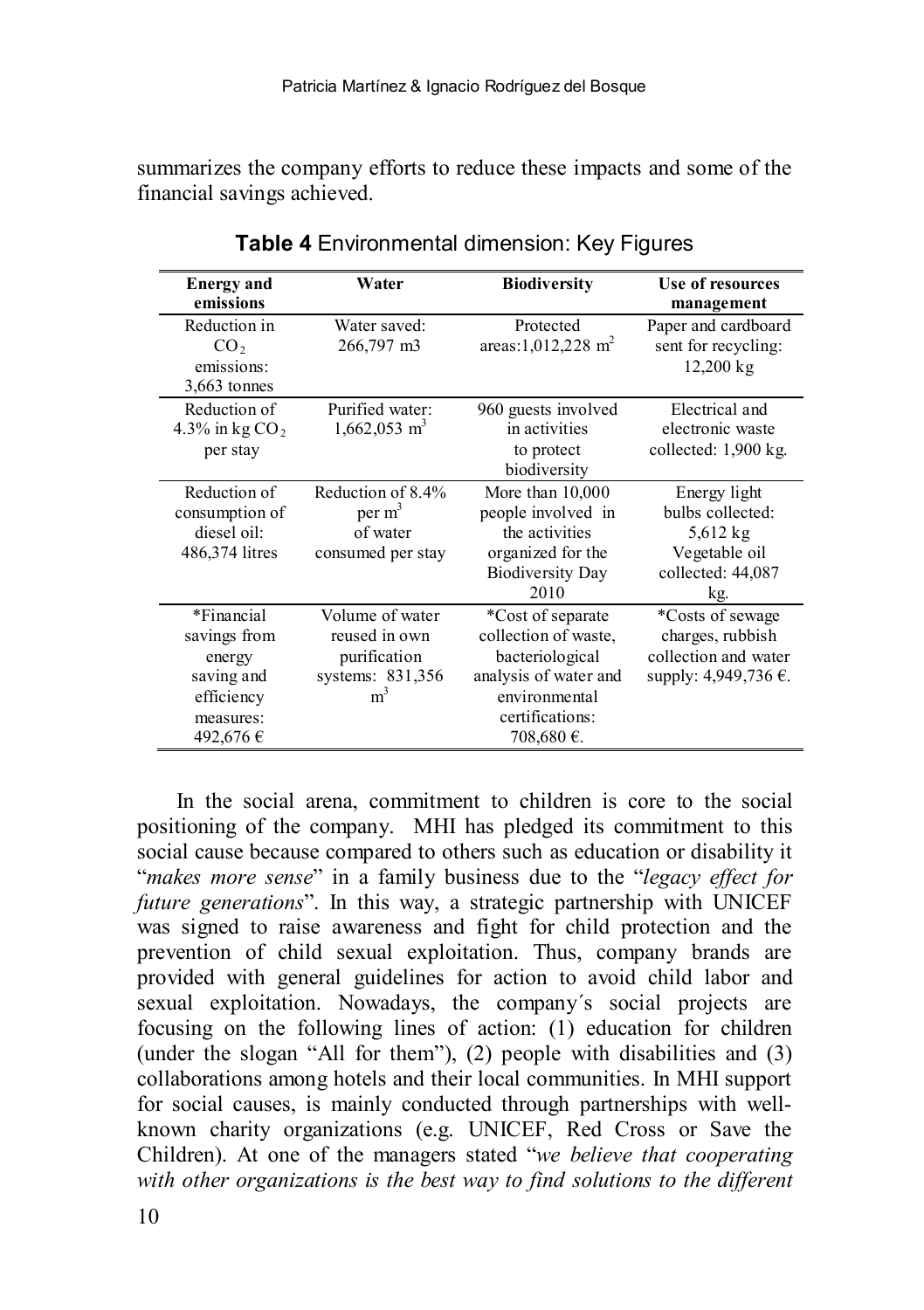summarizes the company efforts to reduce these impacts and some of the financial savings achieved.

| <b>Energy</b> and<br>emissions                                                            | Water                                                                                  | <b>Biodiversity</b>                                                                                                                    | Use of resources<br>management                                                              |
|-------------------------------------------------------------------------------------------|----------------------------------------------------------------------------------------|----------------------------------------------------------------------------------------------------------------------------------------|---------------------------------------------------------------------------------------------|
| Reduction in<br>CO <sub>2</sub><br>emissions:<br>3,663 tonnes                             | Water saved:<br>266,797 m3                                                             | Protected<br>areas: $1,012,228$ m <sup>2</sup>                                                                                         | Paper and cardboard<br>sent for recycling:<br>$12,200 \text{ kg}$                           |
| Reduction of<br>4.3% in kg $CO2$<br>per stay                                              | Purified water:<br>$1,662,053$ m <sup>3</sup>                                          | 960 guests involved<br>in activities<br>to protect<br>biodiversity                                                                     | Electrical and<br>electronic waste<br>collected: 1,900 kg.                                  |
| Reduction of<br>consumption of<br>diesel oil:<br>486,374 litres                           | Reduction of 8.4%<br>per m <sup>3</sup><br>of water<br>consumed per stay               | More than 10,000<br>people involved in<br>the activities<br>organized for the<br><b>Biodiversity Day</b><br>2010                       | Energy light<br>bulbs collected:<br>$5,612$ kg<br>Vegetable oil<br>collected: 44,087<br>kg. |
| *Financial<br>savings from<br>energy<br>saving and<br>efficiency<br>measures:<br>492,676€ | Volume of water<br>reused in own<br>purification<br>systems: 831,356<br>m <sup>3</sup> | *Cost of separate<br>collection of waste.<br>bacteriological<br>analysis of water and<br>environmental<br>certifications:<br>708,680€. | *Costs of sewage<br>charges, rubbish<br>collection and water<br>supply: 4,949,736 €.        |

**Table 4** Environmental dimension: Key Figures

In the social arena, commitment to children is core to the social positioning of the company. MHI has pledged its commitment to this social cause because compared to others such as education or disability it "*makes more sense*" in a family business due to the "*legacy effect for future generations*". In this way, a strategic partnership with UNICEF was signed to raise awareness and fight for child protection and the prevention of child sexual exploitation. Thus, company brands are provided with general guidelines for action to avoid child labor and sexual exploitation. Nowadays, the company´s social projects are focusing on the following lines of action: (1) education for children (under the slogan "All for them"), (2) people with disabilities and (3) collaborations among hotels and their local communities. In MHI support for social causes, is mainly conducted through partnerships with wellknown charity organizations (e.g. UNICEF, Red Cross or Save the Children). At one of the managers stated "*we believe that cooperating*  with other organizations is the best way to find solutions to the different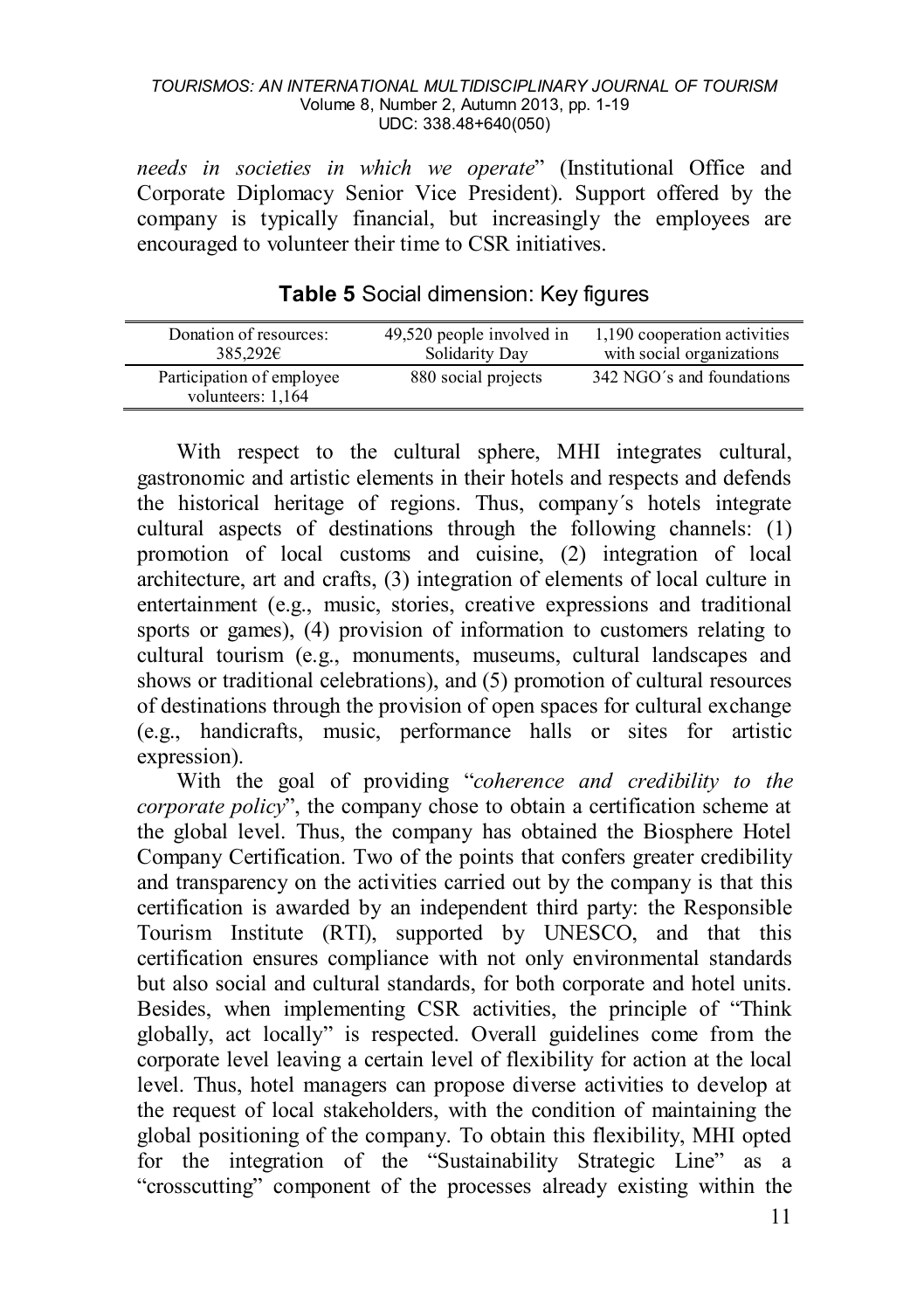*needs in societies in which we operate*" (Institutional Office and Corporate Diplomacy Senior Vice President). Support offered by the company is typically financial, but increasingly the employees are encouraged to volunteer their time to CSR initiatives.

| Donation of resources:                         | 49,520 people involved in | 1,190 cooperation activities |
|------------------------------------------------|---------------------------|------------------------------|
| 385.292€                                       | Solidarity Day            | with social organizations    |
| Participation of employee<br>volunteers: 1,164 | 880 social projects       | 342 NGO's and foundations    |

**Table 5** Social dimension: Key figures

With respect to the cultural sphere, MHI integrates cultural, gastronomic and artistic elements in their hotels and respects and defends the historical heritage of regions. Thus, company´s hotels integrate cultural aspects of destinations through the following channels: (1) promotion of local customs and cuisine, (2) integration of local architecture, art and crafts, (3) integration of elements of local culture in entertainment (e.g., music, stories, creative expressions and traditional sports or games), (4) provision of information to customers relating to cultural tourism (e.g., monuments, museums, cultural landscapes and shows or traditional celebrations), and (5) promotion of cultural resources of destinations through the provision of open spaces for cultural exchange (e.g., handicrafts, music, performance halls or sites for artistic expression).

With the goal of providing "*coherence and credibility to the corporate policy*", the company chose to obtain a certification scheme at the global level. Thus, the company has obtained the Biosphere Hotel Company Certification. Two of the points that confers greater credibility and transparency on the activities carried out by the company is that this certification is awarded by an independent third party: the Responsible Tourism Institute (RTI), supported by UNESCO, and that this certification ensures compliance with not only environmental standards but also social and cultural standards, for both corporate and hotel units. Besides, when implementing CSR activities, the principle of "Think globally, act locally" is respected. Overall guidelines come from the corporate level leaving a certain level of flexibility for action at the local level. Thus, hotel managers can propose diverse activities to develop at the request of local stakeholders, with the condition of maintaining the global positioning of the company. To obtain this flexibility, MHI opted for the integration of the "Sustainability Strategic Line" as a "crosscutting" component of the processes already existing within the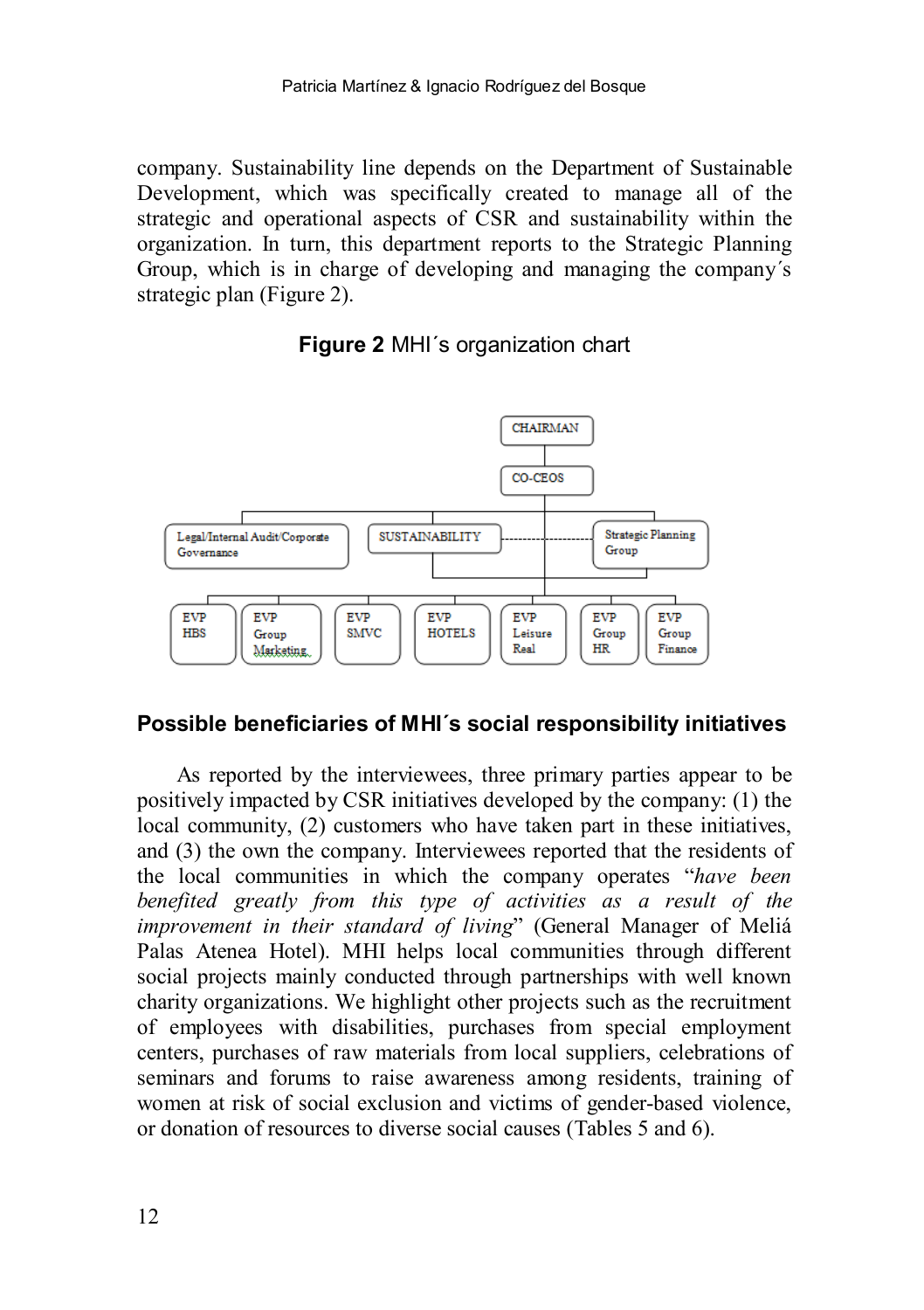company. Sustainability line depends on the Department of Sustainable Development, which was specifically created to manage all of the strategic and operational aspects of CSR and sustainability within the organization. In turn, this department reports to the Strategic Planning Group, which is in charge of developing and managing the company´s strategic plan (Figure 2).

## **Figure 2** MHI´s organization chart



## **Possible beneficiaries of MHI´s social responsibility initiatives**

As reported by the interviewees, three primary parties appear to be positively impacted by CSR initiatives developed by the company: (1) the local community, (2) customers who have taken part in these initiatives, and (3) the own the company. Interviewees reported that the residents of the local communities in which the company operates "*have been benefited greatly from this type of activities as a result of the improvement in their standard of living*" (General Manager of Meliá Palas Atenea Hotel). MHI helps local communities through different social projects mainly conducted through partnerships with well known charity organizations. We highlight other projects such as the recruitment of employees with disabilities, purchases from special employment centers, purchases of raw materials from local suppliers, celebrations of seminars and forums to raise awareness among residents, training of women at risk of social exclusion and victims of gender-based violence, or donation of resources to diverse social causes (Tables 5 and 6).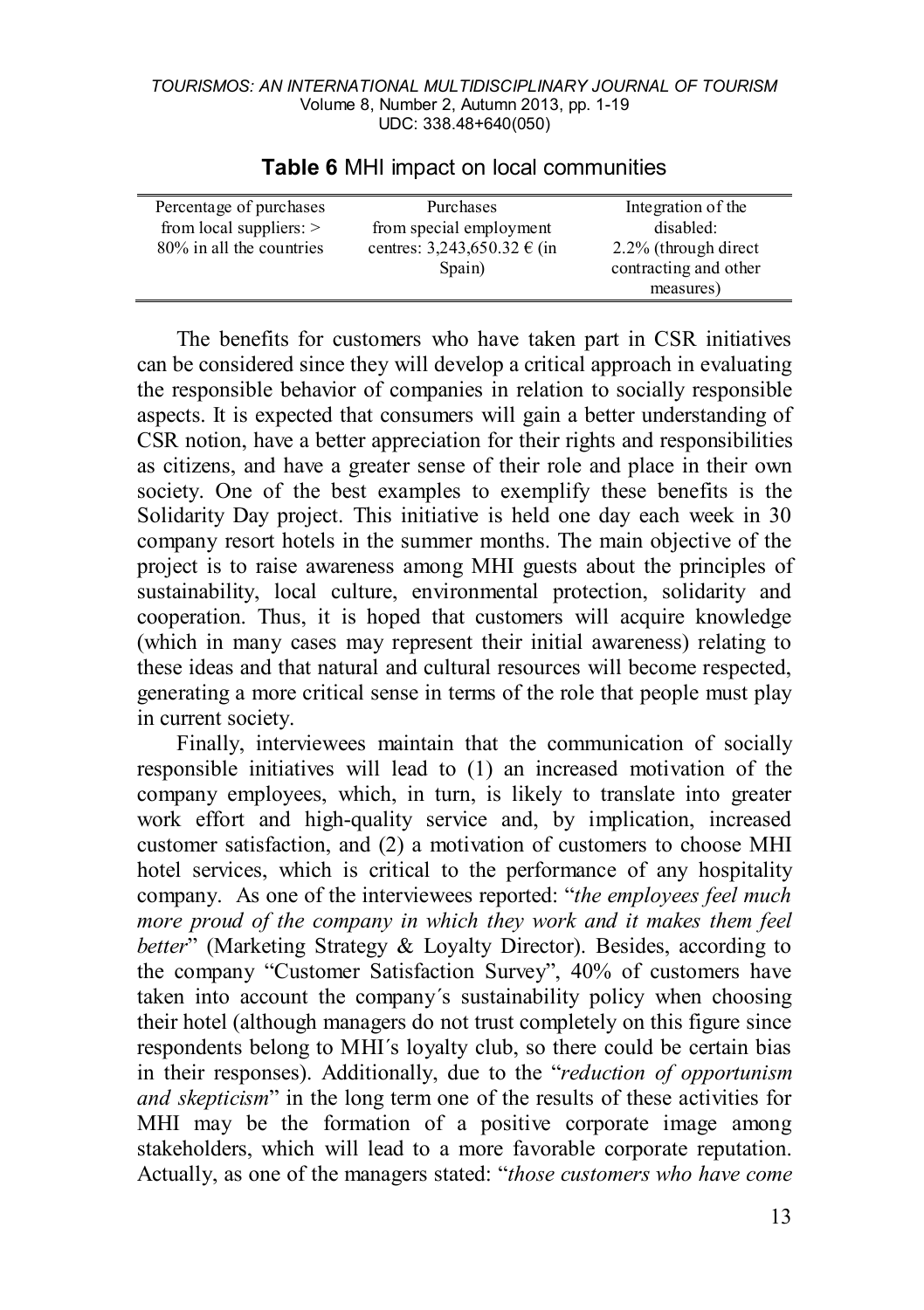| Percentage of purchases   | Purchases                   | Integration of the    |
|---------------------------|-----------------------------|-----------------------|
| from local suppliers: $>$ | from special employment     | disabled:             |
| 80% in all the countries  | centres: 3,243,650.32 € (in | 2.2% (through direct  |
|                           | Spain)                      | contracting and other |
|                           |                             | measures)             |

#### **Table 6** MHI impact on local communities

The benefits for customers who have taken part in CSR initiatives can be considered since they will develop a critical approach in evaluating the responsible behavior of companies in relation to socially responsible aspects. It is expected that consumers will gain a better understanding of CSR notion, have a better appreciation for their rights and responsibilities as citizens, and have a greater sense of their role and place in their own society. One of the best examples to exemplify these benefits is the Solidarity Day project. This initiative is held one day each week in 30 company resort hotels in the summer months. The main objective of the project is to raise awareness among MHI guests about the principles of sustainability, local culture, environmental protection, solidarity and cooperation. Thus, it is hoped that customers will acquire knowledge (which in many cases may represent their initial awareness) relating to these ideas and that natural and cultural resources will become respected, generating a more critical sense in terms of the role that people must play in current society.

Finally, interviewees maintain that the communication of socially responsible initiatives will lead to (1) an increased motivation of the company employees, which, in turn, is likely to translate into greater work effort and high-quality service and, by implication, increased customer satisfaction, and (2) a motivation of customers to choose MHI hotel services, which is critical to the performance of any hospitality company. As one of the interviewees reported: "*the employees feel much more proud of the company in which they work and it makes them feel better*" (Marketing Strategy & Loyalty Director). Besides, according to the company "Customer Satisfaction Survey", 40% of customers have taken into account the company´s sustainability policy when choosing their hotel (although managers do not trust completely on this figure since respondents belong to MHI´s loyalty club, so there could be certain bias in their responses). Additionally, due to the "*reduction of opportunism and skepticism*" in the long term one of the results of these activities for MHI may be the formation of a positive corporate image among stakeholders, which will lead to a more favorable corporate reputation. Actually, as one of the managers stated: "*those customers who have come*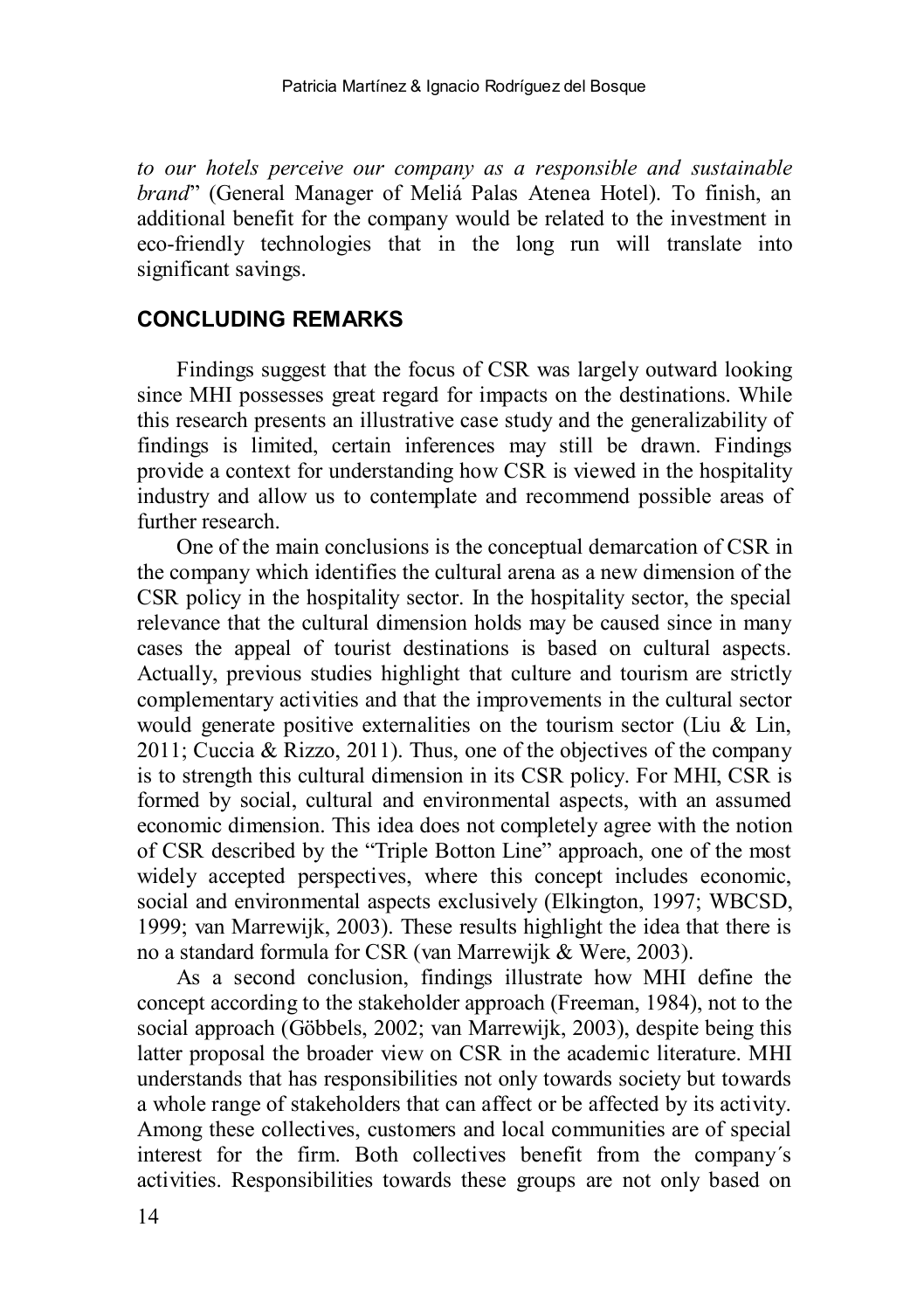*to our hotels perceive our company as a responsible and sustainable brand*" (General Manager of Meliá Palas Atenea Hotel). To finish, an additional benefit for the company would be related to the investment in eco-friendly technologies that in the long run will translate into significant savings.

### **CONCLUDING REMARKS**

Findings suggest that the focus of CSR was largely outward looking since MHI possesses great regard for impacts on the destinations. While this research presents an illustrative case study and the generalizability of findings is limited, certain inferences may still be drawn. Findings provide a context for understanding how CSR is viewed in the hospitality industry and allow us to contemplate and recommend possible areas of further research.

One of the main conclusions is the conceptual demarcation of CSR in the company which identifies the cultural arena as a new dimension of the CSR policy in the hospitality sector. In the hospitality sector, the special relevance that the cultural dimension holds may be caused since in many cases the appeal of tourist destinations is based on cultural aspects. Actually, previous studies highlight that culture and tourism are strictly complementary activities and that the improvements in the cultural sector would generate positive externalities on the tourism sector (Liu & Lin, 2011; Cuccia & Rizzo, 2011). Thus, one of the objectives of the company is to strength this cultural dimension in its CSR policy. For MHI, CSR is formed by social, cultural and environmental aspects, with an assumed economic dimension. This idea does not completely agree with the notion of CSR described by the "Triple Botton Line" approach, one of the most widely accepted perspectives, where this concept includes economic, social and environmental aspects exclusively (Elkington, 1997; WBCSD, 1999; van Marrewijk, 2003). These results highlight the idea that there is no a standard formula for CSR (van Marrewijk & Were, 2003).

As a second conclusion, findings illustrate how MHI define the concept according to the stakeholder approach (Freeman, 1984), not to the social approach (Göbbels, 2002; van Marrewijk, 2003), despite being this latter proposal the broader view on CSR in the academic literature. MHI understands that has responsibilities not only towards society but towards a whole range of stakeholders that can affect or be affected by its activity. Among these collectives, customers and local communities are of special interest for the firm. Both collectives benefit from the company´s activities. Responsibilities towards these groups are not only based on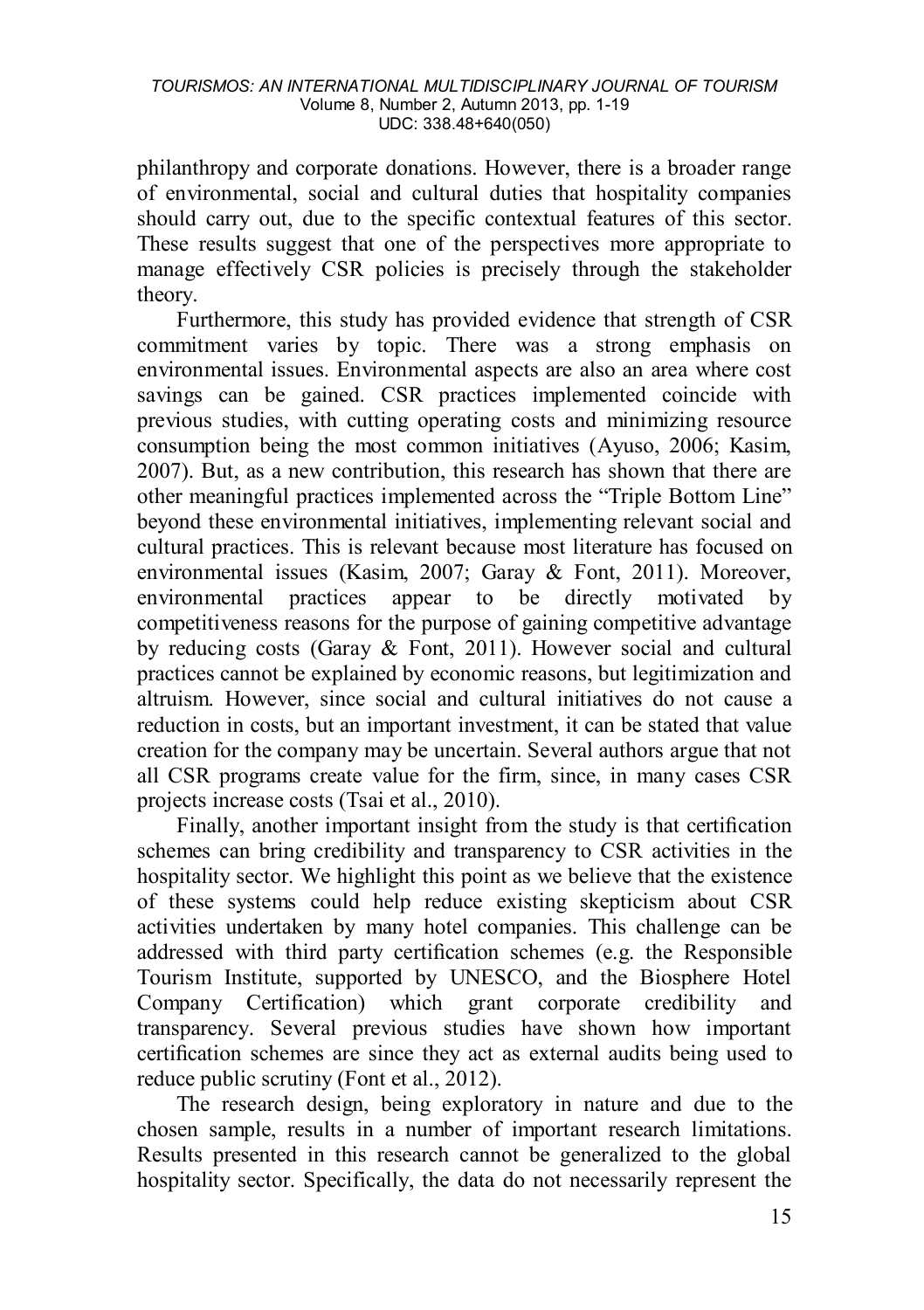philanthropy and corporate donations. However, there is a broader range of environmental, social and cultural duties that hospitality companies should carry out, due to the specific contextual features of this sector. These results suggest that one of the perspectives more appropriate to manage effectively CSR policies is precisely through the stakeholder theory.

Furthermore, this study has provided evidence that strength of CSR commitment varies by topic. There was a strong emphasis on environmental issues. Environmental aspects are also an area where cost savings can be gained. CSR practices implemented coincide with previous studies, with cutting operating costs and minimizing resource consumption being the most common initiatives (Ayuso, 2006; Kasim, 2007). But, as a new contribution, this research has shown that there are other meaningful practices implemented across the "Triple Bottom Line" beyond these environmental initiatives, implementing relevant social and cultural practices. This is relevant because most literature has focused on environmental issues (Kasim, 2007; Garay & Font, 2011). Moreover, environmental practices appear to be directly motivated by competitiveness reasons for the purpose of gaining competitive advantage by reducing costs (Garay & Font, 2011). However social and cultural practices cannot be explained by economic reasons, but legitimization and altruism. However, since social and cultural initiatives do not cause a reduction in costs, but an important investment, it can be stated that value creation for the company may be uncertain. Several authors argue that not all CSR programs create value for the firm, since, in many cases CSR projects increase costs (Tsai et al., 2010).

Finally, another important insight from the study is that certification schemes can bring credibility and transparency to CSR activities in the hospitality sector. We highlight this point as we believe that the existence of these systems could help reduce existing skepticism about CSR activities undertaken by many hotel companies. This challenge can be addressed with third party certification schemes (e.g. the Responsible Tourism Institute, supported by UNESCO, and the Biosphere Hotel Company Certification) which grant corporate credibility and transparency. Several previous studies have shown how important certification schemes are since they act as external audits being used to reduce public scrutiny (Font et al., 2012).

The research design, being exploratory in nature and due to the chosen sample, results in a number of important research limitations. Results presented in this research cannot be generalized to the global hospitality sector. Specifically, the data do not necessarily represent the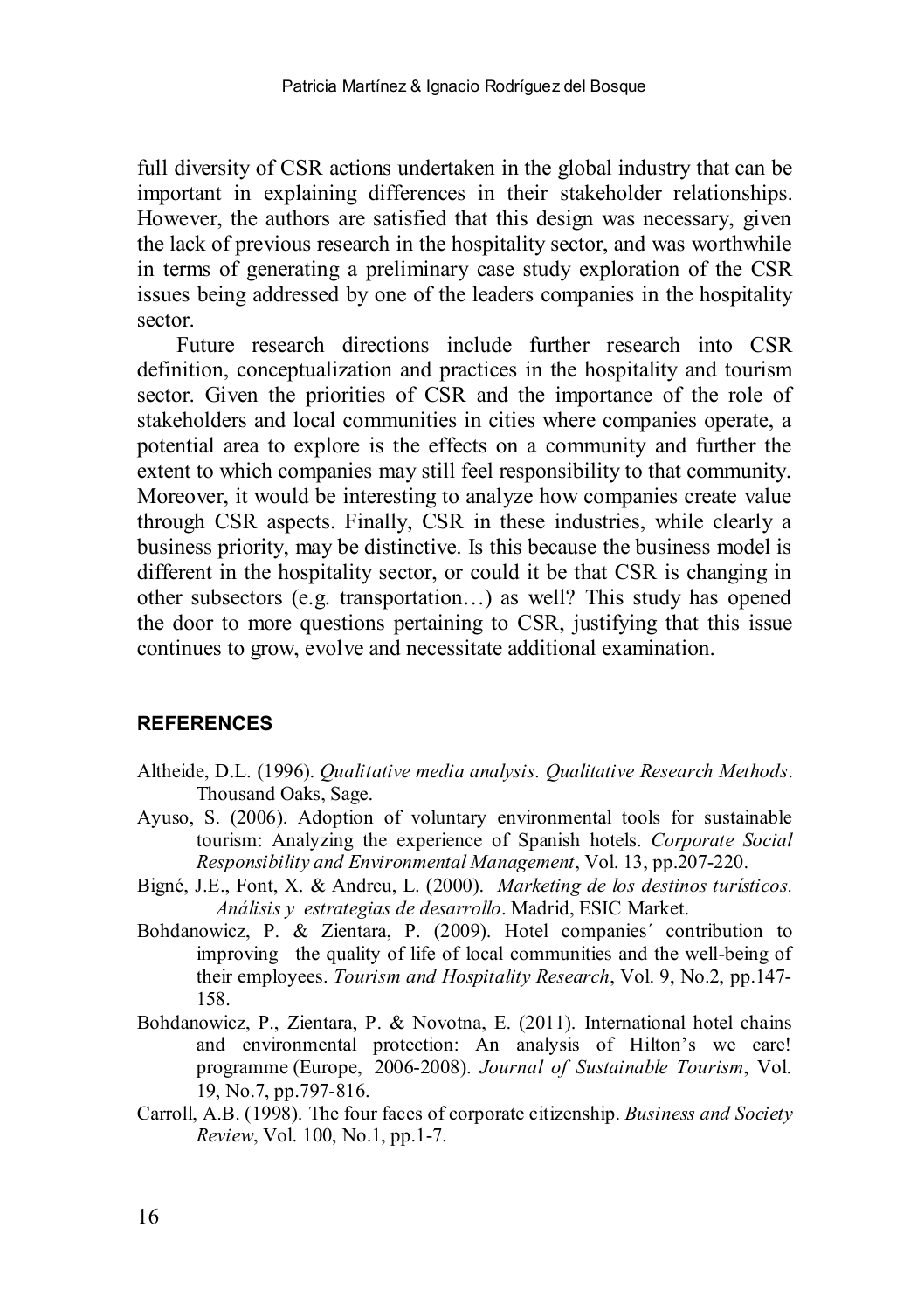full diversity of CSR actions undertaken in the global industry that can be important in explaining differences in their stakeholder relationships. However, the authors are satisfied that this design was necessary, given the lack of previous research in the hospitality sector, and was worthwhile in terms of generating a preliminary case study exploration of the CSR issues being addressed by one of the leaders companies in the hospitality sector.

Future research directions include further research into CSR definition, conceptualization and practices in the hospitality and tourism sector. Given the priorities of CSR and the importance of the role of stakeholders and local communities in cities where companies operate, a potential area to explore is the effects on a community and further the extent to which companies may still feel responsibility to that community. Moreover, it would be interesting to analyze how companies create value through CSR aspects. Finally, CSR in these industries, while clearly a business priority, may be distinctive. Is this because the business model is different in the hospitality sector, or could it be that CSR is changing in other subsectors (e.g. transportation…) as well? This study has opened the door to more questions pertaining to CSR, justifying that this issue continues to grow, evolve and necessitate additional examination.

#### **REFERENCES**

- Altheide, D.L. (1996). *Qualitative media analysis. Qualitative Research Methods*. Thousand Oaks, Sage.
- Ayuso, S. (2006). Adoption of voluntary environmental tools for sustainable tourism: Analyzing the experience of Spanish hotels. *Corporate Social Responsibility and Environmental Management*, Vol. 13, pp.207-220.
- Bigné, J.E., Font, X. & Andreu, L. (2000). *Marketing de los destinos turísticos. Análisis y estrategias de desarrollo*. Madrid, ESIC Market.
- Bohdanowicz, P. & Zientara, P. (2009). Hotel companies´ contribution to improving the quality of life of local communities and the well-being of their employees. *Tourism and Hospitality Research*, Vol. 9, No.2, pp.147- 158.
- Bohdanowicz, P., Zientara, P. & Novotna, E. (2011). International hotel chains and environmental protection: An analysis of Hilton's we care! programme (Europe, 2006-2008). *Journal of Sustainable Tourism*, Vol. 19, No.7, pp.797-816.
- Carroll, A.B. (1998). The four faces of corporate citizenship. *Business and Society Review*, Vol. 100, No.1, pp.1-7.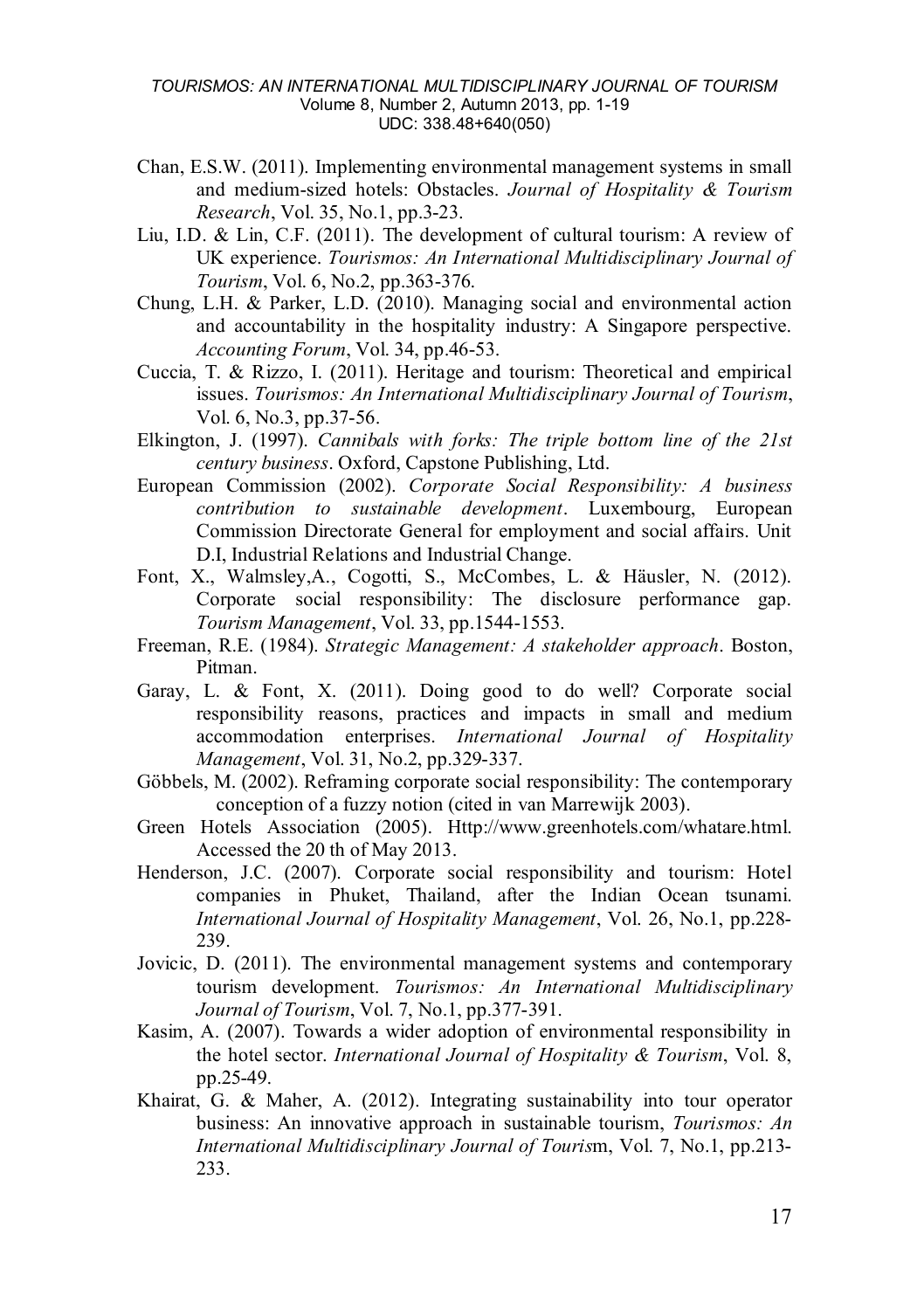- Chan, E.S.W. (2011). Implementing environmental management systems in small and medium-sized hotels: Obstacles. *Journal of Hospitality & Tourism Research*, Vol. 35, No.1, pp.3-23.
- Liu, I.D. & Lin, C.F. (2011). The development of cultural tourism: A review of UK experience. *Tourismos: An International Multidisciplinary Journal of Tourism*, Vol. 6, No.2, pp.363-376.
- Chung, L.H. & Parker, L.D. (2010). Managing social and environmental action and accountability in the hospitality industry: A Singapore perspective. *Accounting Forum*, Vol. 34, pp.46-53.
- Cuccia, T. & Rizzo, I. (2011). Heritage and tourism: Theoretical and empirical issues. *Tourismos: An International Multidisciplinary Journal of Tourism*, Vol. 6, No.3, pp.37-56.
- Elkington, J. (1997). *Cannibals with forks: The triple bottom line of the 21st century business*. Oxford, Capstone Publishing, Ltd.
- European Commission (2002). *Corporate Social Responsibility: A business contribution to sustainable development*. Luxembourg, European Commission Directorate General for employment and social affairs. Unit D.I, Industrial Relations and Industrial Change.
- Font, X., Walmsley,A., Cogotti, S., McCombes, L. & Häusler, N. (2012). Corporate social responsibility: The disclosure performance gap. *Tourism Management*, Vol. 33, pp.1544-1553.
- Freeman, R.E. (1984). *Strategic Management: A stakeholder approach*. Boston, Pitman.
- Garay, L. & Font, X. (2011). Doing good to do well? Corporate social responsibility reasons, practices and impacts in small and medium accommodation enterprises. *International Journal of Hospitality Management*, Vol. 31, No.2, pp.329-337.
- Göbbels, M. (2002). Reframing corporate social responsibility: The contemporary conception of a fuzzy notion (cited in van Marrewijk 2003).
- Green Hotels Association (2005). Ηttp://www.greenhotels.com/whatare.html. Accessed the 20 th of May 2013.
- Henderson, J.C. (2007). Corporate social responsibility and tourism: Hotel companies in Phuket, Thailand, after the Indian Ocean tsunami. *International Journal of Hospitality Management*, Vol. 26, No.1, pp.228- 239.
- Jovicic, D. (2011). The environmental management systems and contemporary tourism development. *Tourismos: An International Multidisciplinary Journal of Tourism*, Vol. 7, No.1, pp.377-391.
- Kasim, A. (2007). Towards a wider adoption of environmental responsibility in the hotel sector. *International Journal of Hospitality & Tourism*, Vol. 8, pp.25-49.
- Khairat, G. & Maher, A. (2012). Integrating sustainability into tour operator business: An innovative approach in sustainable tourism, *Tourismos: An International Multidisciplinary Journal of Touris*m, Vol. 7, No.1, pp.213- 233.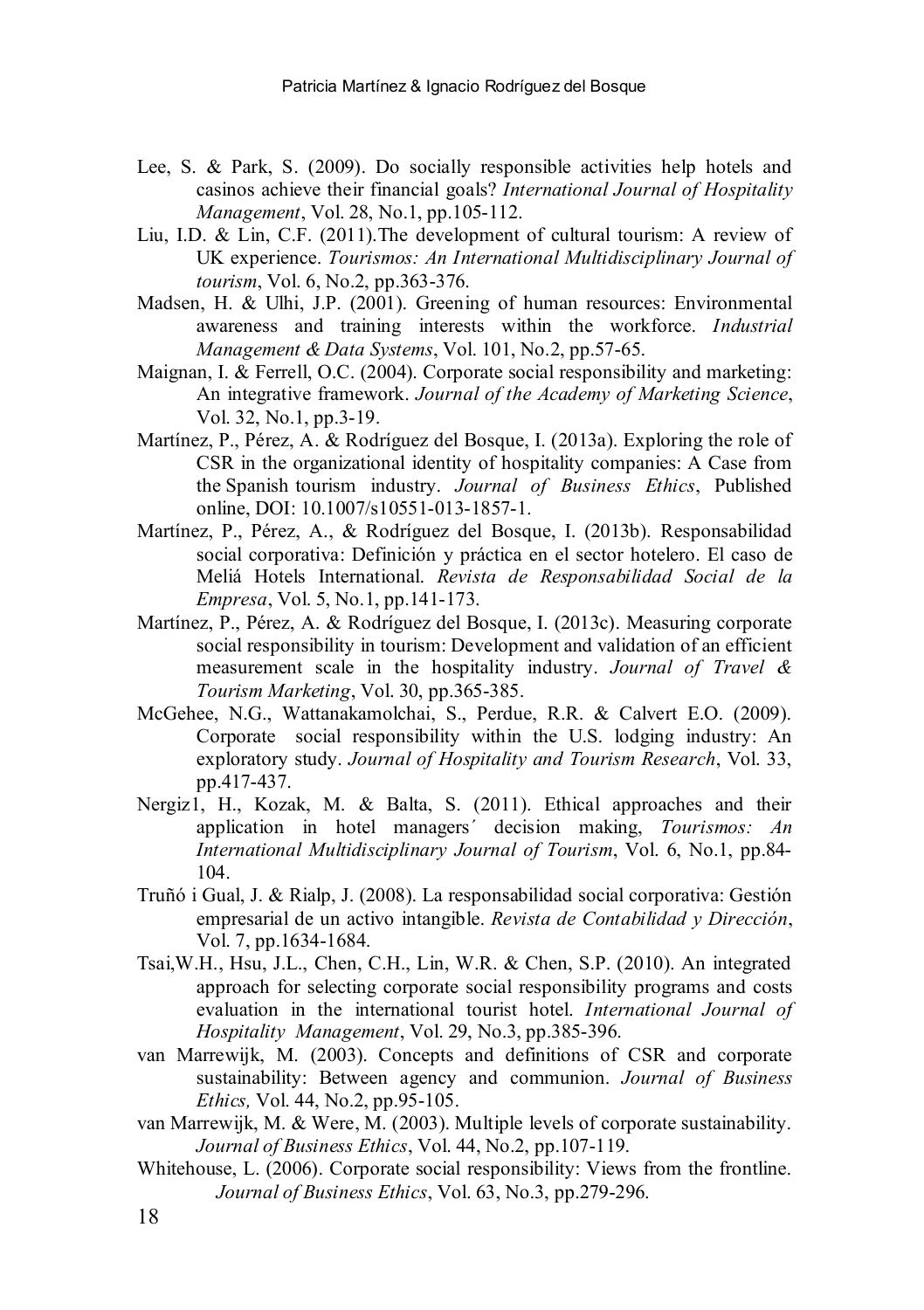- Lee, S. & Park, S. (2009). Do socially responsible activities help hotels and casinos achieve their financial goals? *International Journal of Hospitality Management*, Vol. 28, No.1, pp.105-112.
- Liu, I.D. & Lin, C.F. (2011).The development of cultural tourism: A review of UK experience. *Tourismos: An International Multidisciplinary Journal of tourism*, Vol. 6, No.2, pp.363-376.
- Madsen, H. & Ulhi, J.P. (2001). Greening of human resources: Environmental awareness and training interests within the workforce. *Industrial Management & Data Systems*, Vol. 101, No.2, pp.57-65.
- Maignan, I. & Ferrell, O.C. (2004). Corporate social responsibility and marketing: An integrative framework. *Journal of the Academy of Marketing Science*, Vol. 32, No.1, pp.3-19.
- Martínez, P., Pérez, A. & Rodríguez del Bosque, I. (2013a). Exploring the role of CSR in the organizational identity of hospitality companies: A Case from the Spanish tourism industry. *Journal of Business Ethics*, Published online, DOI: 10.1007/s10551-013-1857-1.
- Martínez, P., Pérez, A., & Rodríguez del Bosque, I. (2013b). Responsabilidad social corporativa: Definición y práctica en el sector hotelero. El caso de Meliá Hotels International. *Revista de Responsabilidad Social de la Empresa*, Vol. 5, No.1, pp.141-173.
- Martínez, P., Pérez, A. & Rodríguez del Bosque, I. (2013c). Measuring corporate social responsibility in tourism: Development and validation of an efficient measurement scale in the hospitality industry. *Journal of Travel & Tourism Marketing*, Vol. 30, pp.365-385.
- McGehee, N.G., Wattanakamolchai, S., Perdue, R.R. & Calvert E.O. (2009). Corporate social responsibility within the U.S. lodging industry: An exploratory study. *Journal of Hospitality and Tourism Research*, Vol. 33, pp.417-437.
- Nergiz1, H., Kozak, M. & Balta, S. (2011). Ethical approaches and their application in hotel managers´ decision making, *Tourismos: An International Multidisciplinary Journal of Tourism*, Vol. 6, No.1, pp.84- 104.
- Truñó i Gual, J. & Rialp, J. (2008). La responsabilidad social corporativa: Gestión empresarial de un activo intangible. *Revista de Contabilidad y Dirección*, Vol. 7, pp.1634-1684.
- Tsai,W.H., Hsu, J.L., Chen, C.H., Lin, W.R. & Chen, S.P. (2010). An integrated approach for selecting corporate social responsibility programs and costs evaluation in the international tourist hotel. *International Journal of Hospitality Management*, Vol. 29, No.3, pp.385-396.
- van Marrewijk, M. (2003). Concepts and definitions of CSR and corporate sustainability: Between agency and communion. *Journal of Business Ethics,* Vol. 44, No.2, pp.95-105.
- van Marrewijk, M. & Were, M. (2003). Multiple levels of corporate sustainability. *Journal of Business Ethics*, Vol. 44, No.2, pp.107-119.
- Whitehouse, L. (2006). Corporate social responsibility: Views from the frontline. *Journal of Business Ethics*, Vol. 63, No.3, pp.279-296.